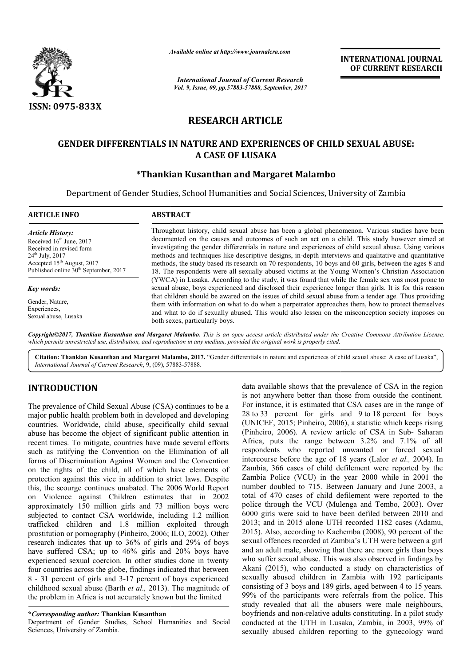

*Available online at http://www.journal http://www.journalcra.com*

*International Journal of Current Research Vol. 9, Issue, 09, pp.57883-57888, September, 2017* **INTERNATIONAL JOURNAL OF CURRENT RESEARCH** 

# **RESEARCH ARTICLE**

## **GENDER DIFFERENTIALS IN NATURE AND EXPERIENCES OF CHILD SEXUAL ABUSE: OF CHILD ABUSE: A CASE OF LUSAKA**

## **\*Thankian Kusanthan and Margaret Malambo Thankian**

Department of Gender Studies, School Humanities and Social Sciences, University of Zambia

| <b>ARTICLE INFO</b>                                                                                                                                                                                                                                                                        | <b>ABSTRACT</b>                                                                                                                                                                                                                                                                                                                                                                                                                                                                                                                                                                                                              |
|--------------------------------------------------------------------------------------------------------------------------------------------------------------------------------------------------------------------------------------------------------------------------------------------|------------------------------------------------------------------------------------------------------------------------------------------------------------------------------------------------------------------------------------------------------------------------------------------------------------------------------------------------------------------------------------------------------------------------------------------------------------------------------------------------------------------------------------------------------------------------------------------------------------------------------|
| <b>Article History:</b><br>Received $16th$ June, 2017<br>Received in revised form<br>$24^{\text{th}}$ July, $2017$<br>Accepted 15 <sup>th</sup> August, 2017<br>Published online 30 <sup>th</sup> September, 2017<br>Key words:<br>Gender, Nature,<br>Experiences,<br>Sexual abuse, Lusaka | Throughout history, child sexual abuse has been a global phenomenon. Various studies have been<br>documented on the causes and outcomes of such an act on a child. This study however aimed at<br>investigating the gender differentials in nature and experiences of child sexual abuse. Using various<br>methods and techniques like descriptive designs, in-depth interviews and qualitative and quantitative<br>methods, the study based its research on 70 respondents, 10 boys and 60 girls, between the ages 8 and<br>18. The respondents were all sexually abused victims at the Young Women's Christian Association |
|                                                                                                                                                                                                                                                                                            | (YWCA) in Lusaka. According to the study, it was found that while the female sex was most prone to<br>sexual abuse, boys experienced and disclosed their experience longer than girls. It is for this reason<br>that children should be awared on the issues of child sexual abuse from a tender age. Thus providing<br>them with information on what to do when a perpetrator approaches them, how to protect themselves<br>and what to do if sexually abused. This would also lessen on the misconception society imposes on<br>both sexes, particularly boys.                                                             |

*Copyright©2017, Thankian Kusanthan and Margaret Malambo Malambo. This is an open access article distributed under the Creative open the Creative Commons Attribution License,*  which permits unrestricted use, distribution, and reproduction in any medium, provided the original work is properly cited.

Citation: Thankian Kusanthan and Margaret Malambo, 2017. "Gender differentials in nature and experiences of child sexual abuse: A case of Lusaka", *International Journal of Current Research*, 9, (09), 57883 57883-57888.

## **INTRODUCTION**

The prevalence of Child Sexual Abuse (CSA) continues to be a major public health problem both in developed and developing countries. Worldwide, child abuse, specifically child sexual abuse has become the object of significant public attention in recent times. To mitigate, countries have made several efforts such as ratifying the Convention on the Elimination of all forms of Discrimination Against Women and the Convention on the rights of the child, all of which have elements of protection against this vice in addition to strict laws. Despite this, the scourge continues unabated. The 2006 World Report on Violence against Children estimates that in 2002 approximately 150 million girls and 73 million boys were subjected to contact CSA worldwide, including 1.2 million trafficked children and 1.8 million exploited through prostitution or pornography (Pinheiro, 2006; ILO, 2002). Other research indicates that up to 36% of girls and 29% of boys have suffered CSA; up to 46% girls and 20% boys have experienced sexual coercion. In other studies done in twenty four countries across the globe, findings indicated that between 8 - 31 percent of girls and 3-17 percent of boys experienced research indicates that up to 36% of girls and 29% of boys<br>have suffered CSA; up to 46% girls and 20% boys have<br>experienced sexual coercion. In other studies done in twenty<br>four countries across the globe, findings indicat the problem in Africa is not accurately known but the limited

#### **\****Corresponding author:* **Thankian Kusanthan**

Department of Gender Studies, School Humanities and Social Sciences, University of Zambia.

data available shows that the prevalence of CSA in the region is not anywhere better than those from outside the continent. For instance, it is estimated that CSA cases are in the range of is not anywhere better than those from outside the continent.<br>For instance, it is estimated that CSA cases are in the range of<br>28 to 33 percent for girls and 9 to 18 percent for boys (UNICEF, 2015; Pinheiro, 2006 2006), a statistic which keeps rising (Pinheiro, 2006). A review article of CSA in Sub-Saharan Africa, puts the range between 3.2% and 7.1% of all respondents who reported unwanted or forced sexual Africa, puts the range between 3.2% and 7.1% of all respondents who reported unwanted or forced sexual intercourse before the age of 18 years (Lalor *et al.*, 2004). In Zambia, 366 cases of child defilement were reported by the Zambia Police (VCU) in the year 2000 while in 2001 the number doubled to 715. Between January and June 2003, a total of 470 cases of child defilement were reported to the police through the VCU (Mulenga and Tembo, 2003). Over 6000 girls were said to have been defiled between 2010 and 2013; and in 2015 alone UTH recorded 1182 cases (Adamu, 2015). Also, according to Kachemba (2008), 90 percent of the sexual offences recorded at Zambia's UTH were between a girl and an adult male, showing that there are more girls than boys who suffer sexual abuse. This was also observed in findings by Akani (2015), who conducted a study on characteristics of sexually abused children in Zambia with 192 participants consisting of 3 boys and 189 girls, aged between 4 to 15 years. 99% of the participants were referrals from the police. This study revealed that all the abusers were male neighbours, boyfriends and non-relative adults constituting. In a pilot study conducted at the UTH in Lusaka, Zambia, in 2003, 99% of sexually abused children reporting to the gynecology ward 1, 366 cases of child defilement were reported by the 1 Police (VCU) in the year 2000 while in 2001 the r doubled to 715. Between January and June 2003, a f 470 cases of child defilement were reported to the through the V 6000 girls were said to have been defiled between 2010 and 2013; and in 2015 alone UTH recorded 1182 cases (Adamu, 2015). Also, according to Kachemba (2008), 90 percent of the sexual offences recorded at Zambia's UTH were **INTERNATIONAL JOURNAL**<br>
INTERNATIONAL JOURNAL<br> **OF CURRENT RESEARCH**<br> **CF CURRENT RESEARCH**<br> **CF**<br> **ERECTES OF CHILD SEXUAL ABUSE:**<br> **ERECTES OF CHILD SEXUAL ABUSE:**<br> **A**<br> **ERENCES OF CHILD SEXUAL ABUSE:**<br> **A**<br> **ERENCES**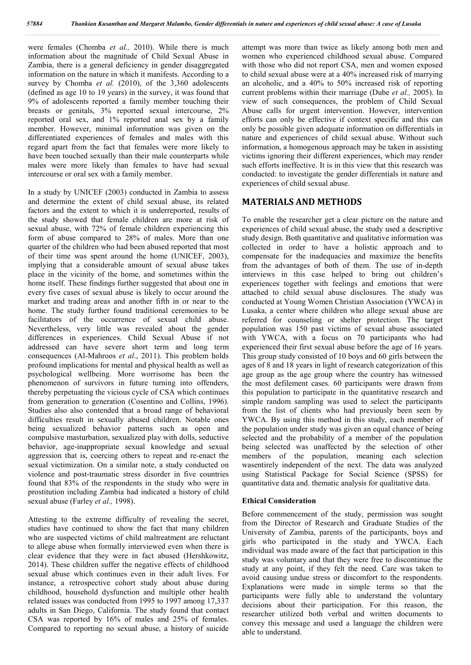were females (Chomba *et al.,* 2010). While there is much information about the magnitude of Child Sexual Abuse in Zambia, there is a general deficiency in gender disaggregated information on the nature in which it manifests. According to a survey by Chomba *et al.* (2010), of the 3,360 adolescents (defined as age 10 to 19 years) in the survey, it was found that 9% of adolescents reported a family member touching their breasts or genitals, 3% reported sexual intercourse, 2% reported oral sex, and 1% reported anal sex by a family member. However, minimal information was given on the differentiated experiences of females and males with this regard apart from the fact that females were more likely to have been touched sexually than their male counterparts while males were more likely than females to have had sexual intercourse or oral sex with a family member.

In a study by UNICEF (2003) conducted in Zambia to assess and determine the extent of child sexual abuse, its related factors and the extent to which it is underreported, results of the study showed that female children are more at risk of sexual abuse, with 72% of female children experiencing this form of abuse compared to 28% of males. More than one quarter of the children who had been abused reported that most of their time was spent around the home (UNICEF, 2003), implying that a considerable amount of sexual abuse takes place in the vicinity of the home, and sometimes within the home itself. These findings further suggested that about one in every five cases of sexual abuse is likely to occur around the market and trading areas and another fifth in or near to the home. The study further found traditional ceremonies to be facilitators of the occurrence of sexual child abuse. Nevertheless, very little was revealed about the gender differences in experiences. Child Sexual Abuse if not addressed can have severe short term and long term consequences (Al-Mahroos *et al*., 2011). This problem holds profound implications for mental and physical health as well as psychological wellbeing. More worrisome has been the phenomenon of survivors in future turning into offenders, thereby perpetuating the vicious cycle of CSA which continues from generation to generation (Cosentino and Collins, 1996). Studies also also contended that a broad range of behavioral difficulties result in sexually abused children. Notable ones being sexualized behavior patterns such as open and compulsive masturbation, sexualized play with dolls, seductive behavior, age-inappropriate sexual knowledge and sexual aggression that is, coercing others to repeat and re-enact the sexual victimization. On a similar note, a study conducted on violence and post-traumatic stress disorder in five countries found that 83% of the respondents in the study who were in prostitution including Zambia had indicated a history of child sexual abuse (Farley *et al.,* 1998).

Attesting to the extreme difficulty of revealing the secret, studies have continued to show the fact that many children who are suspected victims of child maltreatment are reluctant to allege abuse when formally interviewed even when there is clear evidence that they were in fact abused (Hershkowitz, 2014). These children suffer the negative effects of childhood sexual abuse which continues even in their adult lives. For instance, a retrospective cohort study about abuse during childhood, household dysfunction and multiple other health related issues was conducted from 1995 to 1997 among 17,337 adults in San Diego, California. The study found that contact CSA was reported by 16% of males and 25% of females. Compared to reporting no sexual abuse, a history of suicide attempt was more than twice as likely among both men and women who experienced childhood sexual abuse. Compared with those who did not report CSA, men and women exposed to child sexual abuse were at a 40% increased risk of marrying an alcoholic, and a 40% to 50% increased risk of reporting current problems within their marriage (Dube *et al.,* 2005). In view of such consequences, the problem of Child Sexual Abuse calls for urgent intervention. However, intervention efforts can only be effective if context specific and this can only be possible given adequate information on differentials in nature and experiences of child sexual abuse. Without such information, a homogenous approach may be taken in assisting victims ignoring their different experiences, which may render such efforts ineffective. It is in this view that this research was conducted: to investigate the gender differentials in nature and experiences of child sexual abuse.

### **MATERIALS AND METHODS**

To enable the researcher get a clear picture on the nature and experiences of child sexual abuse, the study used a descriptive study design. Both quantitative and qualitative information was collected in order to have a holistic approach and to compensate for the inadequacies and maximize the benefits from the advantages of both of them. The use of in-depth interviews in this case helped to bring out children's experiences together with feelings and emotions that were attached to child sexual abuse disclosures. The study was conducted at Young Women Christian Association (YWCA) in Lusaka, a center where children who allege sexual abuse are referred for counseling or shelter protection. The target population was 150 past victims of sexual abuse associated with YWCA, with a focus on 70 participants who had experienced their first sexual abuse before the age of 16 years. This group study consisted of 10 boys and 60 girls between the ages of 8 and 18 years in light of research categorization of this age group as the age group where the country has witnessed the most defilement cases. 60 participants were drawn from this population to participate in the quantitative research and simple random sampling was used to select the participants from the list of clients who had previously been seen by YWCA. By using this method in this study, each member of the population under study was given an equal chance of being selected and the probability of a member of the population being selected was unaffected by the selection of other members of the population, meaning each selection wasentirely independent of the next. The data was analyzed using Statistical Package for Social Science (SPSS) for quantitative data and. thematic analysis for qualitative data.

#### **Ethical Consideration**

Before commencement of the study, permission was sought from the Director of Research and Graduate Studies of the University of Zambia, parents of the participants, boys and girls who participated in the study and YWCA. Each individual was made aware of the fact that participation in this study was voluntary and that they were free to discontinue the study at any point, if they felt the need. Care was taken to avoid causing undue stress or discomfort to the respondents. Explanations were made in simple terms so that the participants were fully able to understand the voluntary decisions about their participation. For this reason, the researcher utilized both verbal and written documents to convey this message and used a language the children were able to understand.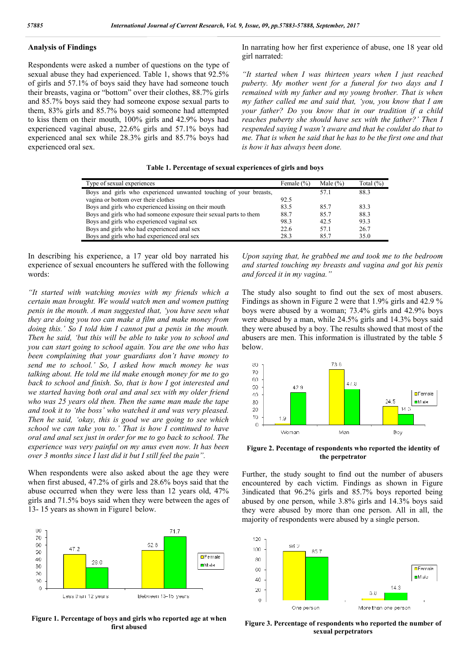#### **Analysis of Findings**

Respondents were asked a number of questions on the type of sexual abuse they had experienced. Table 1, shows that 92.5% of girls and 57.1% of boys said they have had someone touch their breasts, vagina or "bottom" over their clothes, 88.7% girls and 85.7% boys said they had someone expose sexual parts to them, 83% girls and 85.7% boys said someone had attempted to kiss them on their mouth, 100% girls and 42.9% boys had experienced vaginal abuse, 22.6% girls and 57.1% boys had experienced anal sex while 28.3% girls and 85.7% boys had experienced oral sex.

In narrating how her first experience of abuse, one 18 year old girl narrated:

*"It started when I was thirteen years when I just reached puberty. My mother went for a funeral for two days and I remained with my father and my young brother. That is when my father called me and said that, 'you, you know that I am your father? Do you know that in our tradition if a child reaches puberty she should have sex with the father?' Then I respended saying I wasn't aware and that he couldnt do that to me. That is when he said that he has to be the first one and that is how it has always been done.* 

| Table 1. Percentage of sexual experiences of girls and boys |  |  |  |  |
|-------------------------------------------------------------|--|--|--|--|
|-------------------------------------------------------------|--|--|--|--|

| Type of sexual experiences                                         | Female $(\% )$ | Male $(\% )$ | Total $(\% )$ |
|--------------------------------------------------------------------|----------------|--------------|---------------|
| Boys and girls who experienced unwanted touching of your breasts,  |                | 57.1         | 88.3          |
| vagina or bottom over their clothes                                | 92.5           |              |               |
| Boys and girls who experienced kissing on their mouth              | 83.5           | 857          | 83.3          |
| Boys and girls who had someone exposure their sexual parts to them | 88.7           | 85.7         | 88.3          |
| Boys and girls who experienced vaginal sex                         | 98.3           | 42.5         | 93.3          |
| Boys and girls who had experienced anal sex                        | 22.6           | 57.1         | 26.7          |
| Boys and girls who had experienced oral sex                        | 28.3           | 857          | 35.0          |

In describing his experience, a 17 year old boy narrated his experience of sexual encounters he suffered with the following words:

*"It started with watching movies with my friends which a certain man brought. We would watch men and women putting penis in the mouth. A man suggested that, 'you have seen what they are doing you too can make a film and make money from doing this.' So I told him I cannot put a penis in the mouth. Then he said, 'but this will be able to take you to school and you can start going to school again. You are the one who has been complaining that your guardians don't have money to send me to school.' So, I asked how much money he was talking about. He told me ild make enough money for me to go back to school and finish. So, that is how I got interested and we started having both oral and anal sex with my older friend who was 25 years old then. Then the same man made the tape and took it to 'the boss' who watched it and was very pleased. Then he said, 'okay, this is good we are going to see which school we can take you to.' That is how I continued to have oral and anal sex just in order for me to go back to school. The experience was very painful on my anus even now. It has been over 3 months since I last did it but I still feel the pain".*

When respondents were also asked about the age they were when first abused, 47.2% of girls and 28.6% boys said that the abuse occurred when they were less than 12 years old, 47% girls and 71.5% boys said when they were between the ages of 13- 15 years as shown in Figure1 below.



**Figure 1. Percentage of boys and girls who reported age at when first abused**

*Upon saying that, he grabbed me and took me to the bedroom and started touching my breasts and vagina and got his penis and forced it in my vagina."*

The study also sought to find out the sex of most abusers. Findings as shown in Figure 2 were that 1.9% girls and 42.9 % boys were abused by a woman; 73.4% girls and 42.9% boys were abused by a man, while 24.5% girls and 14.3% boys said they were abused by a boy. The results showed that most of the abusers are men. This information is illustrated by the table 5 below.



**Figure 2. Pecentage of respondents who reported the identity of the perpetrator**

Further, the study sought to find out the number of abusers encountered by each victim. Findings as shown in Figure 3indicated that 96.2% girls and 85.7% boys reported being abused by one person, while 3.8% girls and 14.3% boys said they were abused by more than one person. All in all, the majority of respondents were abused by a single person.



**Figure 3. Percentage of respondents who reported the number of sexual perpetrators**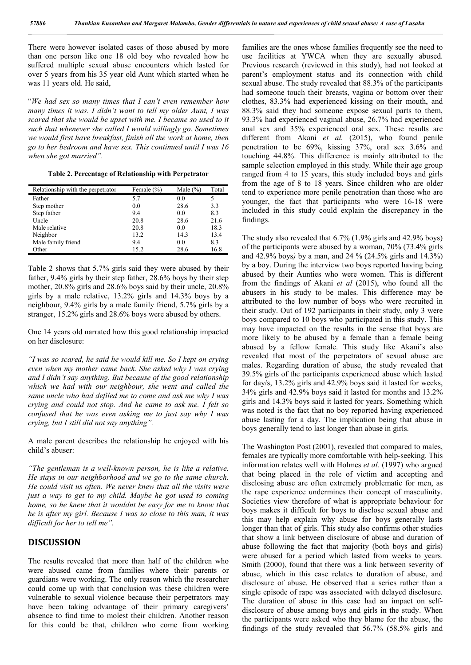There were however isolated cases of those abused by more than one person like one 18 old boy who revealed how he suffered multiple sexual abuse encounters which lasted for over 5 years from his 35 year old Aunt which started when he was 11 years old. He said,

"*We had sex so many times that I can't even remember how many times it was. I didn't want to tell my older Aunt, I was scared that she would be upset with me. I became so used to it such that whenever she called I would willingly go. Sometimes we would first have breakfast, finish all the work at home, then go to her bedroom and have sex. This continued until I was 16 when she got married".*

**Table 2. Percentage of Relationship with Perpetrator**

| Relationship with the perpetrator | Female (%) | Male $(\% )$ | Total |
|-----------------------------------|------------|--------------|-------|
| Father                            | 5.7        | 0.0          | 5     |
| Step mother                       | 0.0        | 28.6         | 3.3   |
| Step father                       | 9.4        | 0.0          | 8.3   |
| Uncle                             | 20.8       | 28.6         | 21.6  |
| Male relative                     | 20.8       | 0.0          | 18.3  |
| Neighbor                          | 13.2       | 14.3         | 13.4  |
| Male family friend                | 9.4        | 0.0          | 8.3   |
| Other                             | 15.2       | 28.6         | 16.8  |

Table 2 shows that 5.7% girls said they were abused by their father, 9.4% girls by their step father, 28.6% boys by their step mother, 20.8% girls and 28.6% boys said by their uncle, 20.8% girls by a male relative, 13.2% girls and 14.3% boys by a neighbour, 9.4% girls by a male family friend, 5.7% girls by a stranger, 15.2% girls and 28.6% boys were abused by others.

One 14 years old narrated how this good relationship impacted on her disclosure:

*"I was so scared, he said he would kill me. So I kept on crying even when my mother came back. She asked why I was crying and I didn't say anything. But because of the good relationship which we had with our neighbour, she went and called the same uncle who had defiled me to come and ask me why I was crying and could not stop. And he came to ask me. I felt so confused that he was even asking me to just say why I was crying, but I still did not say anything".*

A male parent describes the relationship he enjoyed with his child's abuser:

*"The gentleman is a well-known person, he is like a relative. He stays in our neighborhood and we go to the same church. He could visit us often. We never knew that all the visits were just a way to get to my child. Maybe he got used to coming home, so he knew that it wouldnt be easy for me to know that he is after my girl. Because I was so close to this man, it was difficult for her to tell me".*

### **DISCUSSION**

The results revealed that more than half of the children who were abused came from families where their parents or guardians were working. The only reason which the researcher could come up with that conclusion was these children were vulnerable to sexual violence because their perpetrators may have been taking advantage of their primary caregivers' absence to find time to molest their children. Another reason for this could be that, children who come from working

families are the ones whose families frequently see the need to use facilities at YWCA when they are sexually abused. Previous research (reviewed in this study), had not looked at parent's employment status and its connection with child sexual abuse. The study revealed that 88.3% of the participants had someone touch their breasts, vagina or bottom over their clothes, 83.3% had experienced kissing on their mouth, and 88.3% said they had someone expose sexual parts to them, 93.3% had experienced vaginal abuse, 26.7% had experienced anal sex and 35% experienced oral sex. These results are different from Akani *et al.* (2015), who found penile penetration to be 69%, kissing 37%, oral sex 3.6% and touching 44.8%. This difference is mainly attributed to the sample selection employed in this study. While their age group ranged from 4 to 15 years, this study included boys and girls from the age of 8 to 18 years. Since children who are older tend to experience more penile penetration than those who are younger, the fact that participants who were 16-18 were included in this study could explain the discrepancy in the findings.

The study also revealed that 6.7% (1.9% girls and 42.9% boys) of the participants were abused by a woman, 70% (73.4% girls and 42.9% boys*)* by a man, and 24 % (24.5% girls and 14.3%) by a boy. During the interview two boys reported having being abused by their Aunties who were women. This is different from the findings of Akani *et al* (2015), who found all the abusers in his study to be males. This difference may be attributed to the low number of boys who were recruited in their study. Out of 192 participants in their study, only 3 were boys compared to 10 boys who participated in this study. This may have impacted on the results in the sense that boys are more likely to be abused by a female than a female being abused by a fellow female. This study like Akani's also revealed that most of the perpetrators of sexual abuse are males. Regarding duration of abuse, the study revealed that 39.5% girls of the participants experienced abuse which lasted for day/s, 13.2% girls and 42.9% boys said it lasted for weeks, 34% girls and 42.9% boys said it lasted for months and 13.2% girls and 14.3% boys said it lasted for years. Something which was noted is the fact that no boy reported having experienced abuse lasting for a day. The implication being that abuse in boys generally tend to last longer than abuse in girls.

The Washington Post (2001), revealed that compared to males, females are typically more comfortable with help-seeking. This information relates well with Holmes *et al.* (1997) who argued that being placed in the role of victim and accepting and disclosing abuse are often extremely problematic for men, as the rape experience undermines their concept of masculinity. Societies view therefore of what is appropriate behaviour for boys makes it difficult for boys to disclose sexual abuse and this may help explain why abuse for boys generally lasts longer than that of girls. This study also confirms other studies that show a link between disclosure of abuse and duration of abuse following the fact that majority (both boys and girls) were abused for a period which lasted from weeks to years. Smith (2000), found that there was a link between severity of abuse, which in this case relates to duration of abuse, and disclosure of abuse. He observed that a series rather than a single episode of rape was associated with delayed disclosure. The duration of abuse in this case had an impact on selfdisclosure of abuse among boys and girls in the study. When the participants were asked who they blame for the abuse, the findings of the study revealed that 56.7% (58.5% girls and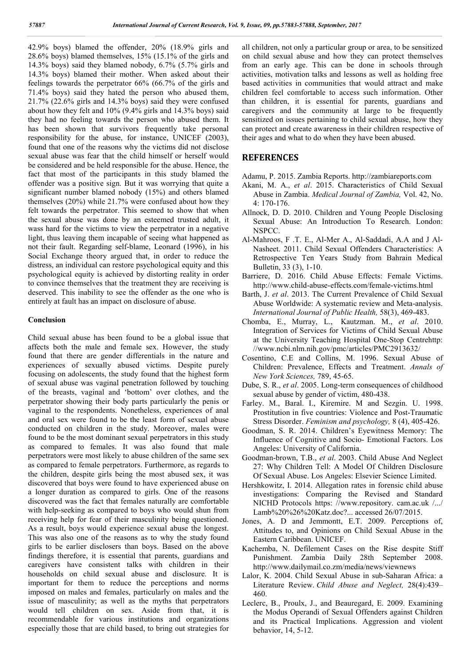42.9% boys) blamed the offender, 20% (18.9% girls and 28.6% boys) blamed themselves, 15% (15.1% of the girls and 14.3% boys) said they blamed nobody, 6.7% (5.7% girls and 14.3% boys) blamed their mother. When asked about their feelings towards the perpetrator 66% (66.7% of the girls and 71.4% boys) said they hated the person who abused them, 21.7% (22.6% girls and 14.3% boys) said they were confused about how they felt and 10% (9.4% girls and 14.3% boys) said they had no feeling towards the person who abused them. It has been shown that survivors frequently take personal responsibility for the abuse, for instance, UNICEF (2003), found that one of the reasons why the victims did not disclose sexual abuse was fear that the child himself or herself would be considered and be held responsible for the abuse. Hence, the fact that most of the participants in this study blamed the offender was a positive sign. But it was worrying that quite a significant number blamed nobody (15%) and others blamed themselves (20%) while 21.7% were confused about how they felt towards the perpetrator. This seemed to show that when the sexual abuse was done by an esteemed trusted adult, it wass hard for the victims to view the perpetrator in a negative light, thus leaving them incapable of seeing what happened as not their fault. Regarding self-blame, Leonard (1996), in his Social Exchange theory argued that, in order to reduce the distress, an individual can restore psychological equity and this psychological equity is achieved by distorting reality in order to convince themselves that the treatment they are receiving is deserved. This inability to see the offender as the one who is entirely at fault has an impact on disclosure of abuse.

#### **Conclusion**

Child sexual abuse has been found to be a global issue that affects both the male and female sex. However, the study found that there are gender differentials in the nature and experiences of sexually abused victims. Despite purely focusing on adolescents, the study found that the highest form of sexual abuse was vaginal penetration followed by touching of the breasts, vaginal and 'bottom' over clothes, and the perpetrator showing their body parts particularly the penis or vaginal to the respondents. Nonetheless, experiences of anal and oral sex were found to be the least form of sexual abuse conducted on children in the study. Moreover, males were found to be the most dominant sexual perpetrators in this study as compared to females. It was also found that male perpetrators were most likely to abuse children of the same sex as compared to female perpetrators. Furthermore, as regards to the children, despite girls being the most abused sex, it was discovered that boys were found to have experienced abuse on a longer duration as compared to girls. One of the reasons discovered was the fact that females naturally are comfortable with help-seeking as compared to boys who would shun from receiving help for fear of their masculinity being questioned. As a result, boys would experience sexual abuse the longest. This was also one of the reasons as to why the study found girls to be earlier disclosers than boys. Based on the above findings therefore, it is essential that parents, guardians and caregivers have consistent talks with children in their households on child sexual abuse and disclosure. It is important for them to reduce the perceptions and norms imposed on males and females, particularly on males and the issue of masculinity; as well as the myths that perpetrators would tell children on sex. Aside from that, it is recommendable for various institutions and organizations especially those that are child based, to bring out strategies for all children, not only a particular group or area, to be sensitized on child sexual abuse and how they can protect themselves from an early age. This can be done in schools through activities, motivation talks and lessons as well as holding free based activities in communities that would attract and make children feel comfortable to access such information. Other than children, it is essential for parents, guardians and caregivers and the community at large to be frequently sensitized on issues pertaining to child sexual abuse, how they can protect and create awareness in their children respective of their ages and what to do when they have been abused.

### **REFERENCES**

- Adamu, P. 2015. Zambia Reports. http://zambiareports.com
- Akani, M. A., *et al*. 2015. Characteristics of Child Sexual Abuse in Zambia. *Medical Journal of Zambia,* Vol. 42, No. 4: 170-176.
- Allnock, D. D. 2010. Children and Young People Disclosing Sexual Abuse: An Introduction To Research. London: NSPCC.
- Al-Mahroos, F .T. E., Al-Mer A., Al-Saddadi, A.A and J Al-Nasheet. 2011. Child Sexual Offenders Characteristics: A Retrospective Ten Years Study from Bahrain Medical Bulletin, 33 (3), 1-10.
- Barriere, D. 2016. Child Abuse Effects: Female Victims. http://www.child-abuse-effects.com/female-victims.html
- Barth, J. *et al*. 2013. The Current Prevalence of Child Sexual Abuse Worldwide: A systematic review and Meta-analysis. *International Journal of Public Health,* 58(3), 469-483.
- Chomba, E., Murray, L., Kautzman. M., *et al*. 2010. Integration of Services for Victims of Child Sexual Abuse at the University Teaching Hospital One-Stop Centrehttp: //www.ncbi.nlm.nih.gov/pmc/articles/PMC2913632/
- Cosentino, C.E and Collins, M. 1996. Sexual Abuse of Children: Prevalence, Effects and Treatment. *Annals of New York Sciences,* 789, 45-65.
- Dube, S. R., *et al*. 2005. Long-term consequences of childhood sexual abuse by gender of victim, 480-438.
- Farley. M., Baral. I., Kiremire. M and Sezgin. U. 1998. Prostitution in five countries: Violence and Post-Traumatic Stress Disorder. *Feminism and psychology,* 8 (4), 405-426.
- Goodman, S. R. 2014. Children's Eyewitness Memory: The Influence of Cognitive and Socio- Emotional Factors. Los Angeles: University of California.
- Goodman-brown, T.B., *et al*. 2003. Child Abuse And Neglect 27: Why Children Tell: A Model Of Children Disclosure Of Sexual Abuse. Los Angeles: Elsevier Science Limited.
- Hershkowitz, I. 2014. Allegation rates in forensic child abuse investigations: Comparing the Revised and Standard NICHD Protocols https: //www.repository. cam.ac.uk /.../ Lamb%20%26%20Katz.doc?... accessed 26/07/2015.
- Jones, A. D and Jemmontt, E.T. 2009. Perceptions of, Attitudes to, and Opinions on Child Sexual Abuse in the Eastern Caribbean. UNICEF.
- Kachemba, N. Defilement Cases on the Rise despite Stiff Punishment. Zambia Daily 28th September 2008. http://www.dailymail.co.zm/media/news/viewnews
- Lalor, K. 2004. Child Sexual Abuse in sub-Saharan Africa: a Literature Review. *Child Abuse and Neglect,* 28(4):439– 460.
- Leclerc, B., Proulx, J., and Beauregard, E. 2009. Examining the Modus Operandi of Sexual Offenders against Children and its Practical Implications. Aggression and violent behavior, 14, 5-12.